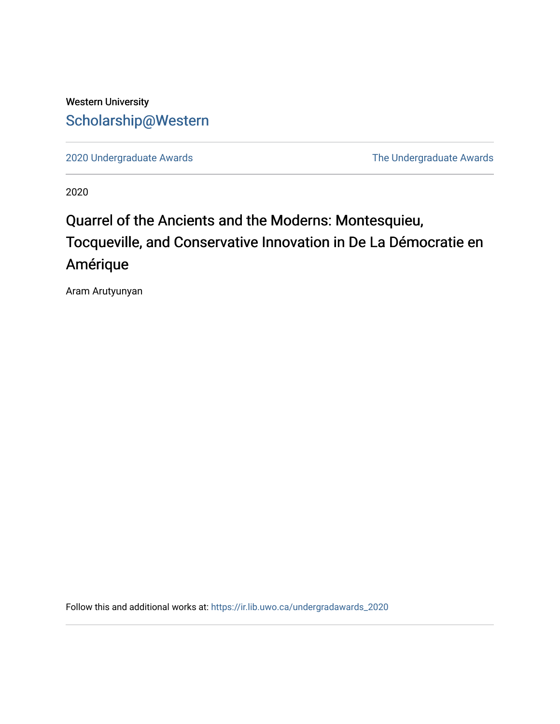## Western University [Scholarship@Western](https://ir.lib.uwo.ca/)

[2020 Undergraduate Awards](https://ir.lib.uwo.ca/undergradawards_2020) [The Undergraduate Awards](https://ir.lib.uwo.ca/ungradawards) 

2020

# Quarrel of the Ancients and the Moderns: Montesquieu, Tocqueville, and Conservative Innovation in De La Démocratie en Amérique

Aram Arutyunyan

Follow this and additional works at: [https://ir.lib.uwo.ca/undergradawards\\_2020](https://ir.lib.uwo.ca/undergradawards_2020?utm_source=ir.lib.uwo.ca%2Fundergradawards_2020%2F12&utm_medium=PDF&utm_campaign=PDFCoverPages)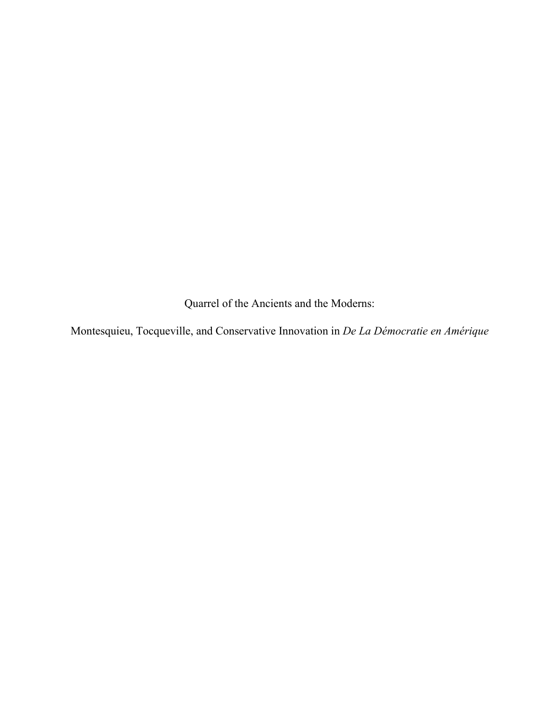Quarrel of the Ancients and the Moderns:

Montesquieu, Tocqueville, and Conservative Innovation in *De La Démocratie en Amérique*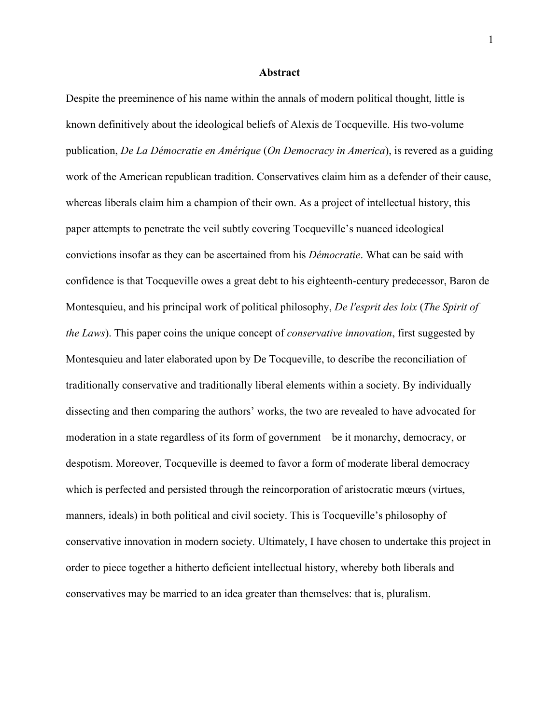#### **Abstract**

Despite the preeminence of his name within the annals of modern political thought, little is known definitively about the ideological beliefs of Alexis de Tocqueville. His two-volume publication, *De La Démocratie en Amérique* (*On Democracy in America*), is revered as a guiding work of the American republican tradition. Conservatives claim him as a defender of their cause, whereas liberals claim him a champion of their own. As a project of intellectual history, this paper attempts to penetrate the veil subtly covering Tocqueville's nuanced ideological convictions insofar as they can be ascertained from his *Démocratie*. What can be said with confidence is that Tocqueville owes a great debt to his eighteenth-century predecessor, Baron de Montesquieu, and his principal work of political philosophy, *De l'esprit des loix* (*The Spirit of the Laws*). This paper coins the unique concept of *conservative innovation*, first suggested by Montesquieu and later elaborated upon by De Tocqueville, to describe the reconciliation of traditionally conservative and traditionally liberal elements within a society. By individually dissecting and then comparing the authors' works, the two are revealed to have advocated for moderation in a state regardless of its form of government—be it monarchy, democracy, or despotism. Moreover, Tocqueville is deemed to favor a form of moderate liberal democracy which is perfected and persisted through the reincorporation of aristocratic mœurs (virtues, manners, ideals) in both political and civil society. This is Tocqueville's philosophy of conservative innovation in modern society. Ultimately, I have chosen to undertake this project in order to piece together a hitherto deficient intellectual history, whereby both liberals and conservatives may be married to an idea greater than themselves: that is, pluralism.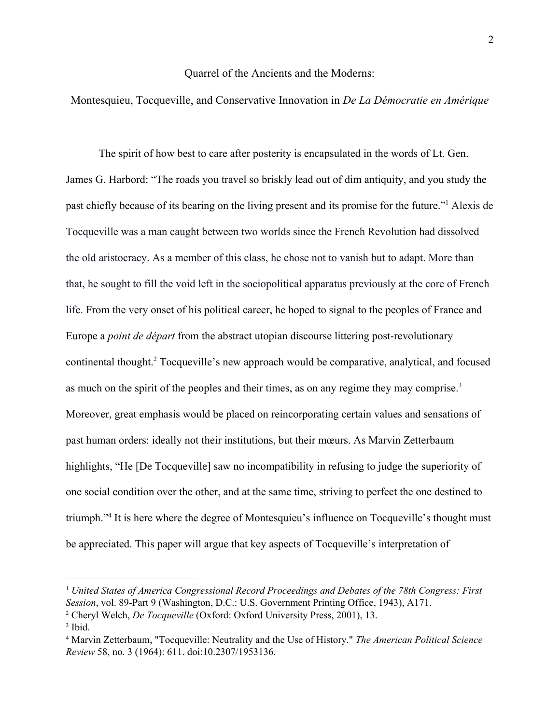#### Quarrel of the Ancients and the Moderns:

### Montesquieu, Tocqueville, and Conservative Innovation in *De La Démocratie en Amérique*

The spirit of how best to care after posterity is encapsulated in the words of Lt. Gen. James G. Harbord: "The roads you travel so briskly lead out of dim antiquity, and you study the past chiefly because of its bearing on the living present and its promise for the future."<sup>1</sup> Alexis de Tocqueville was a man caught between two worlds since the French Revolution had dissolved the old aristocracy. As a member of this class, he chose not to vanish but to adapt. More than that, he sought to fill the void left in the sociopolitical apparatus previously at the core of French life. From the very onset of his political career, he hoped to signal to the peoples of France and Europe a *point de départ* from the abstract utopian discourse littering post-revolutionary continental thought.<sup>2</sup> Tocqueville's new approach would be comparative, analytical, and focused as much on the spirit of the peoples and their times, as on any regime they may comprise.<sup>3</sup> Moreover, great emphasis would be placed on reincorporating certain values and sensations of past human orders: ideally not their institutions, but their mœurs. As Marvin Zetterbaum highlights, "He [De Tocqueville] saw no incompatibility in refusing to judge the superiority of one social condition over the other, and at the same time, striving to perfect the one destined to triumph."<sup>4</sup> It is here where the degree of Montesquieu's influence on Tocqueville's thought must be appreciated. This paper will argue that key aspects of Tocqueville's interpretation of

<sup>1</sup> *United States of America Congressional Record Proceedings and Debates of the 78th Congress: First Session*, vol. 89-Part 9 (Washington, D.C.: U.S. Government Printing Office, 1943), A171. <sup>2</sup> Cheryl Welch, *De Tocqueville* (Oxford: Oxford University Press, 2001), 13.

<sup>3</sup> Ibid.

<sup>4</sup> Marvin Zetterbaum, "Tocqueville: Neutrality and the Use of History." *The American Political Science Review* 58, no. 3 (1964): 611. doi:10.2307/1953136.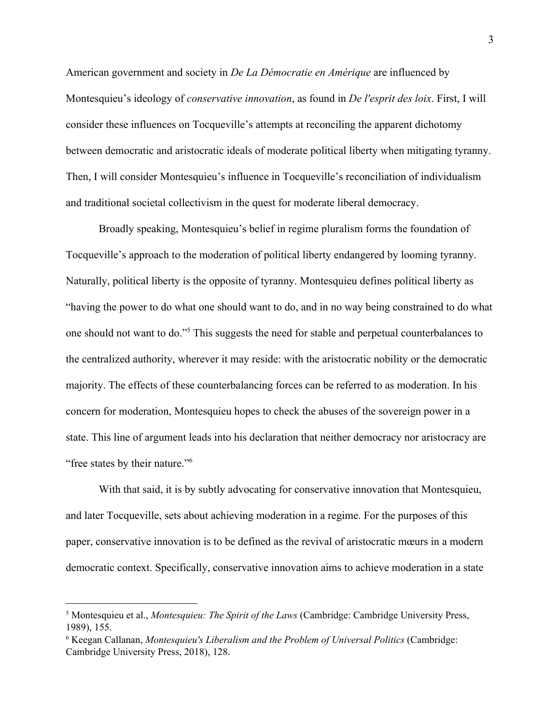American government and society in *De La Démocratie en Amérique* are influenced by Montesquieu's ideology of *conservative innovation*, as found in *De l'esprit des loix*. First, I will consider these influences on Tocqueville's attempts at reconciling the apparent dichotomy between democratic and aristocratic ideals of moderate political liberty when mitigating tyranny. Then, I will consider Montesquieu's influence in Tocqueville's reconciliation of individualism and traditional societal collectivism in the quest for moderate liberal democracy.

Broadly speaking, Montesquieu's belief in regime pluralism forms the foundation of Tocqueville's approach to the moderation of political liberty endangered by looming tyranny. Naturally, political liberty is the opposite of tyranny. Montesquieu defines political liberty as "having the power to do what one should want to do, and in no way being constrained to do what one should not want to do."<sup>5</sup> This suggests the need for stable and perpetual counterbalances to the centralized authority, wherever it may reside: with the aristocratic nobility or the democratic majority. The effects of these counterbalancing forces can be referred to as moderation. In his concern for moderation, Montesquieu hopes to check the abuses of the sovereign power in a state. This line of argument leads into his declaration that neither democracy nor aristocracy are "free states by their nature."<sup>6</sup>

With that said, it is by subtly advocating for conservative innovation that Montesquieu, and later Tocqueville, sets about achieving moderation in a regime. For the purposes of this paper, conservative innovation is to be defined as the revival of aristocratic mœurs in a modern democratic context. Specifically, conservative innovation aims to achieve moderation in a state

<sup>5</sup> Montesquieu et al., *Montesquieu: The Spirit of the Laws* (Cambridge: Cambridge University Press, 1989), 155.

<sup>6</sup> Keegan Callanan, *Montesquieu's Liberalism and the Problem of Universal Politics* (Cambridge: Cambridge University Press, 2018), 128.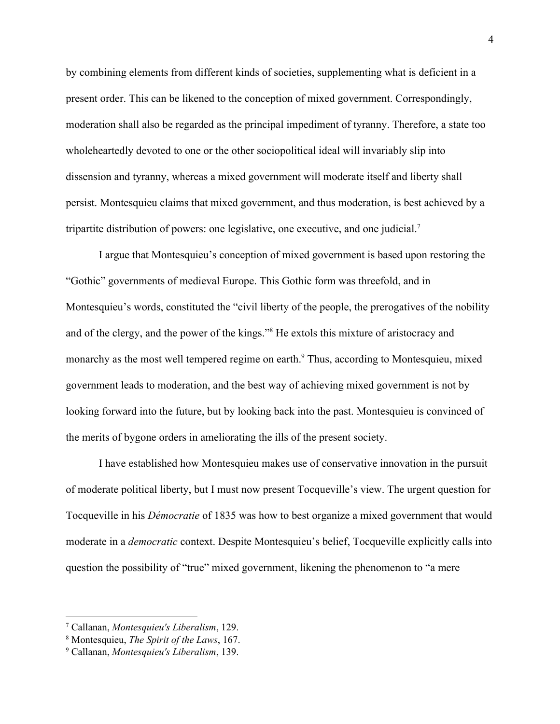by combining elements from different kinds of societies, supplementing what is deficient in a present order. This can be likened to the conception of mixed government. Correspondingly, moderation shall also be regarded as the principal impediment of tyranny. Therefore, a state too wholeheartedly devoted to one or the other sociopolitical ideal will invariably slip into dissension and tyranny, whereas a mixed government will moderate itself and liberty shall persist. Montesquieu claims that mixed government, and thus moderation, is best achieved by a tripartite distribution of powers: one legislative, one executive, and one judicial.<sup>7</sup>

I argue that Montesquieu's conception of mixed government is based upon restoring the "Gothic" governments of medieval Europe. This Gothic form was threefold, and in Montesquieu's words, constituted the "civil liberty of the people, the prerogatives of the nobility and of the clergy, and the power of the kings."<sup>8</sup> He extols this mixture of aristocracy and monarchy as the most well tempered regime on earth.<sup>9</sup> Thus, according to Montesquieu, mixed government leads to moderation, and the best way of achieving mixed government is not by looking forward into the future, but by looking back into the past. Montesquieu is convinced of the merits of bygone orders in ameliorating the ills of the present society.

I have established how Montesquieu makes use of conservative innovation in the pursuit of moderate political liberty, but I must now present Tocqueville's view. The urgent question for Tocqueville in his *Démocratie* of 1835 was how to best organize a mixed government that would moderate in a *democratic* context. Despite Montesquieu's belief, Tocqueville explicitly calls into question the possibility of "true" mixed government, likening the phenomenon to "a mere

<sup>7</sup> Callanan, *Montesquieu's Liberalism*, 129.

<sup>8</sup> Montesquieu, *The Spirit of the Laws*, 167.

<sup>9</sup> Callanan, *Montesquieu's Liberalism*, 139.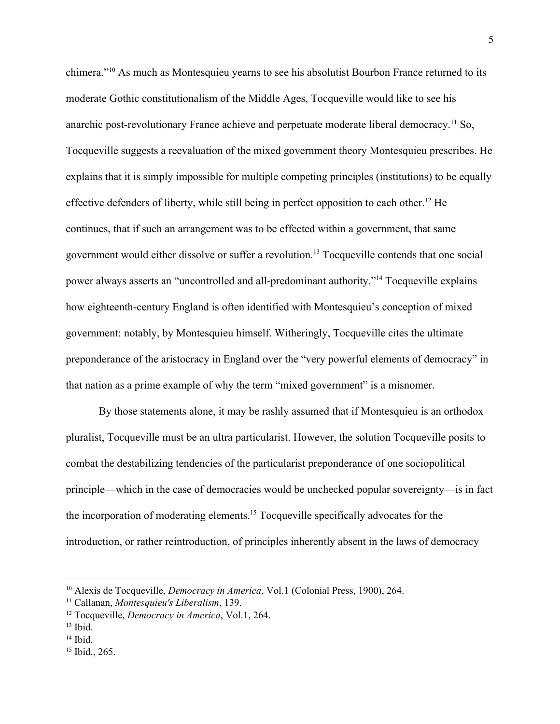chimera."<sup>10</sup> As much as Montesquieu yearns to see his absolutist Bourbon France returned to its moderate Gothic constitutionalism of the Middle Ages, Tocqueville would like to see his anarchic post-revolutionary France achieve and perpetuate moderate liberal democracy.<sup>11</sup> So, Tocqueville suggests a reevaluation of the mixed government theory Montesquieu prescribes. He explains that it is simply impossible for multiple competing principles (institutions) to be equally effective defenders of liberty, while still being in perfect opposition to each other.<sup>12</sup> He continues, that if such an arrangement was to be effected within a government, that same government would either dissolve or suffer a revolution.<sup>13</sup> Tocqueville contends that one social power always asserts an "uncontrolled and all-predominant authority."<sup>14</sup> Tocqueville explains how eighteenth-century England is often identified with Montesquieu's conception of mixed government: notably, by Montesquieu himself. Witheringly, Tocqueville cites the ultimate preponderance of the aristocracy in England over the "very powerful elements of democracy" in that nation as a prime example of why the term "mixed government" is a misnomer.

By those statements alone, it may be rashly assumed that if Montesquieu is an orthodox pluralist, Tocqueville must be an ultra particularist. However, the solution Tocqueville posits to combat the destabilizing tendencies of the particularist preponderance of one sociopolitical principle—which in the case of democracies would be unchecked popular sovereignty—is in fact the incorporation of moderating elements.<sup>15</sup> Tocqueville specifically advocates for the introduction, or rather reintroduction, of principles inherently absent in the laws of democracy

13 Ibid.

<sup>10</sup> Alexis de Tocqueville, *Democracy in America*, Vol.1 (Colonial Press, 1900), 264.

<sup>11</sup> Callanan, *Montesquieu's Liberalism*, 139.

<sup>12</sup> Tocqueville, *Democracy in America*, Vol.1, 264.

<sup>14</sup> Ibid.

<sup>15</sup> Ibid., 265.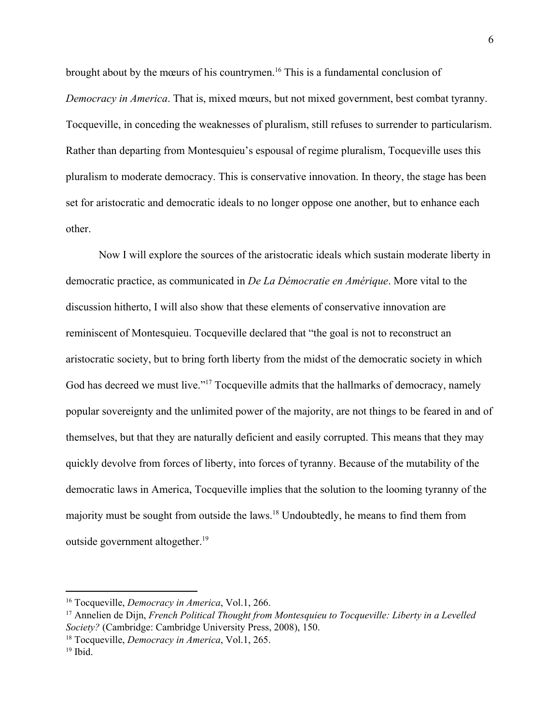brought about by the mœurs of his countrymen.<sup>16</sup> This is a fundamental conclusion of *Democracy in America*. That is, mixed mœurs, but not mixed government, best combat tyranny. Tocqueville, in conceding the weaknesses of pluralism, still refuses to surrender to particularism. Rather than departing from Montesquieu's espousal of regime pluralism, Tocqueville uses this pluralism to moderate democracy. This is conservative innovation. In theory, the stage has been set for aristocratic and democratic ideals to no longer oppose one another, but to enhance each other.

Now I will explore the sources of the aristocratic ideals which sustain moderate liberty in democratic practice, as communicated in *De La Démocratie en Amérique*. More vital to the discussion hitherto, I will also show that these elements of conservative innovation are reminiscent of Montesquieu. Tocqueville declared that "the goal is not to reconstruct an aristocratic society, but to bring forth liberty from the midst of the democratic society in which God has decreed we must live."<sup>17</sup> Tocqueville admits that the hallmarks of democracy, namely popular sovereignty and the unlimited power of the majority, are not things to be feared in and of themselves, but that they are naturally deficient and easily corrupted. This means that they may quickly devolve from forces of liberty, into forces of tyranny. Because of the mutability of the democratic laws in America, Tocqueville implies that the solution to the looming tyranny of the majority must be sought from outside the laws.<sup>18</sup> Undoubtedly, he means to find them from outside government altogether.<sup>19</sup>

<sup>16</sup> Tocqueville, *Democracy in America*, Vol.1, 266.

<sup>17</sup> Annelien de Dijn, *French Political Thought from Montesquieu to Tocqueville: Liberty in a Levelled Society?* (Cambridge: Cambridge University Press, 2008), 150.

<sup>18</sup> Tocqueville, *Democracy in America*, Vol.1, 265.

<sup>19</sup> Ibid.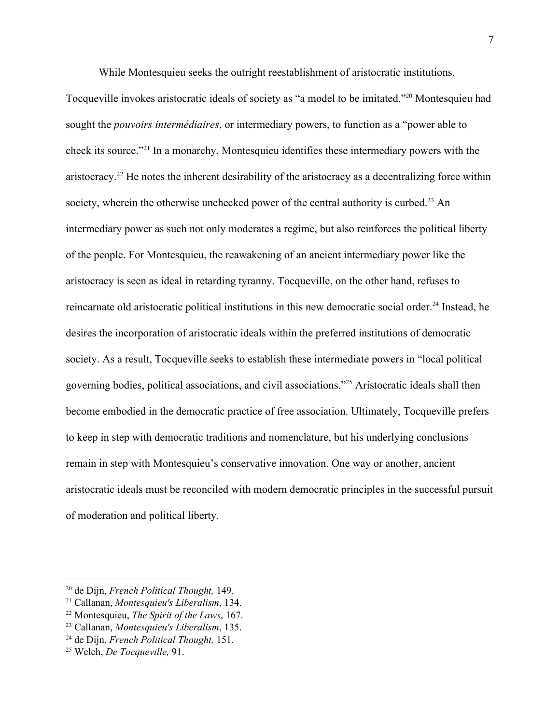While Montesquieu seeks the outright reestablishment of aristocratic institutions,

Tocqueville invokes aristocratic ideals of society as "a model to be imitated."<sup>20</sup> Montesquieu had sought the *pouvoirs intermédiaires*, or intermediary powers, to function as a "power able to check its source."<sup>21</sup> In a monarchy, Montesquieu identifies these intermediary powers with the aristocracy.<sup>22</sup> He notes the inherent desirability of the aristocracy as a decentralizing force within society, wherein the otherwise unchecked power of the central authority is curbed.<sup>23</sup> An intermediary power as such not only moderates a regime, but also reinforces the political liberty of the people. For Montesquieu, the reawakening of an ancient intermediary power like the aristocracy is seen as ideal in retarding tyranny. Tocqueville, on the other hand, refuses to reincarnate old aristocratic political institutions in this new democratic social order.<sup>24</sup> Instead, he desires the incorporation of aristocratic ideals within the preferred institutions of democratic society. As a result, Tocqueville seeks to establish these intermediate powers in "local political governing bodies, political associations, and civil associations."<sup>25</sup> Aristocratic ideals shall then become embodied in the democratic practice of free association. Ultimately, Tocqueville prefers to keep in step with democratic traditions and nomenclature, but his underlying conclusions remain in step with Montesquieu's conservative innovation. One way or another, ancient aristocratic ideals must be reconciled with modern democratic principles in the successful pursuit of moderation and political liberty.

<sup>20</sup> de Dijn, *French Political Thought,* 149.

<sup>21</sup> Callanan, *Montesquieu's Liberalism*, 134.

<sup>22</sup> Montesquieu, *The Spirit of the Laws*, 167.

<sup>23</sup> Callanan, *Montesquieu's Liberalism*, 135.

<sup>24</sup> de Dijn, *French Political Thought,* 151.

<sup>25</sup> Welch, *De Tocqueville,* 91.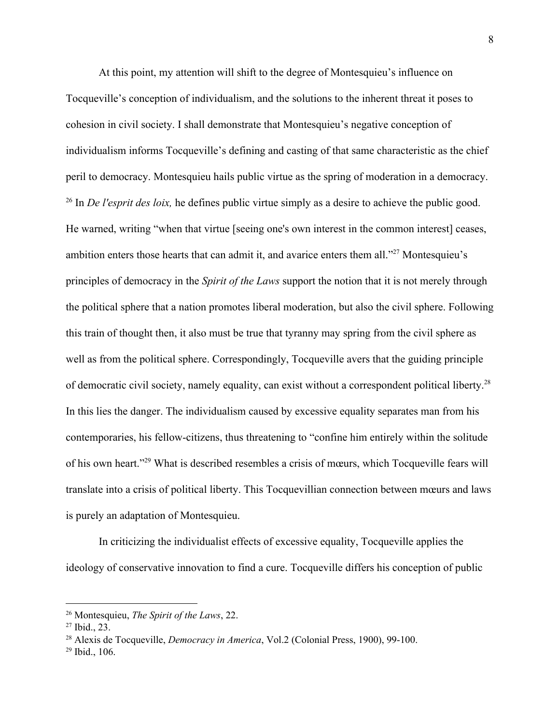At this point, my attention will shift to the degree of Montesquieu's influence on Tocqueville's conception of individualism, and the solutions to the inherent threat it poses to cohesion in civil society. I shall demonstrate that Montesquieu's negative conception of individualism informs Tocqueville's defining and casting of that same characteristic as the chief peril to democracy. Montesquieu hails public virtue as the spring of moderation in a democracy. <sup>26</sup> In *De l'esprit des loix*, he defines public virtue simply as a desire to achieve the public good. He warned, writing "when that virtue [seeing one's own interest in the common interest] ceases, ambition enters those hearts that can admit it, and avarice enters them all. $27$  Montesquieu's principles of democracy in the *Spirit of the Laws* support the notion that it is not merely through the political sphere that a nation promotes liberal moderation, but also the civil sphere. Following this train of thought then, it also must be true that tyranny may spring from the civil sphere as well as from the political sphere. Correspondingly, Tocqueville avers that the guiding principle of democratic civil society, namely equality, can exist without a correspondent political liberty.<sup>28</sup> In this lies the danger. The individualism caused by excessive equality separates man from his contemporaries, his fellow-citizens, thus threatening to "confine him entirely within the solitude of his own heart."<sup>29</sup> What is described resembles a crisis of mœurs, which Tocqueville fears will translate into a crisis of political liberty. This Tocquevillian connection between mœurs and laws is purely an adaptation of Montesquieu.

In criticizing the individualist effects of excessive equality, Tocqueville applies the ideology of conservative innovation to find a cure. Tocqueville differs his conception of public

<sup>26</sup> Montesquieu, *The Spirit of the Laws*, 22.

<sup>27</sup> Ibid., 23.

<sup>28</sup> Alexis de Tocqueville, *Democracy in America*, Vol.2 (Colonial Press, 1900), 99-100.

<sup>29</sup> Ibid., 106.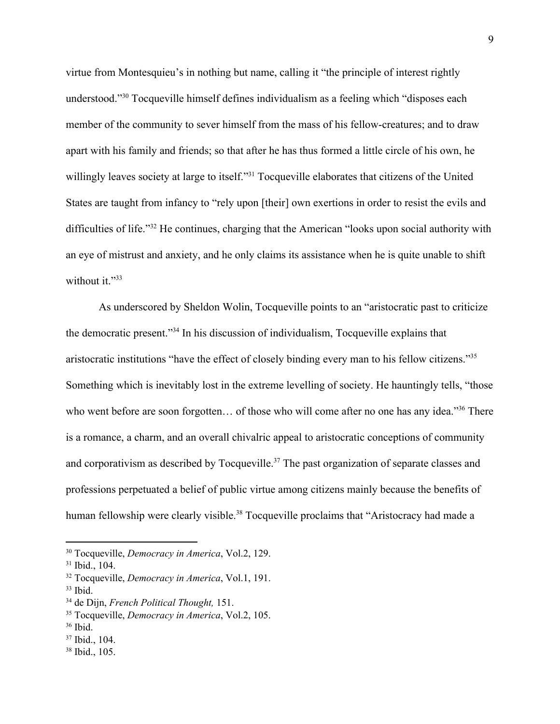virtue from Montesquieu's in nothing but name, calling it "the principle of interest rightly understood."<sup>30</sup> Tocqueville himself defines individualism as a feeling which "disposes each member of the community to sever himself from the mass of his fellow-creatures; and to draw apart with his family and friends; so that after he has thus formed a little circle of his own, he willingly leaves society at large to itself."<sup>31</sup> Tocqueville elaborates that citizens of the United States are taught from infancy to "rely upon [their] own exertions in order to resist the evils and difficulties of life." $32$  He continues, charging that the American "looks upon social authority with an eye of mistrust and anxiety, and he only claims its assistance when he is quite unable to shift without it."33

As underscored by Sheldon Wolin, Tocqueville points to an "aristocratic past to criticize the democratic present."<sup>34</sup> In his discussion of individualism, Tocqueville explains that aristocratic institutions "have the effect of closely binding every man to his fellow citizens."<sup>35</sup> Something which is inevitably lost in the extreme levelling of society. He hauntingly tells, "those who went before are soon forgotten... of those who will come after no one has any idea."<sup>36</sup> There is a romance, a charm, and an overall chivalric appeal to aristocratic conceptions of community and corporativism as described by Tocqueville.<sup>37</sup> The past organization of separate classes and professions perpetuated a belief of public virtue among citizens mainly because the benefits of human fellowship were clearly visible.<sup>38</sup> Tocqueville proclaims that "Aristocracy had made a

<sup>30</sup> Tocqueville, *Democracy in America*, Vol.2, 129.

<sup>31</sup> Ibid., 104.

<sup>32</sup> Tocqueville, *Democracy in America*, Vol.1, 191.

<sup>33</sup> Ibid.

<sup>34</sup> de Dijn, *French Political Thought,* 151.

<sup>35</sup> Tocqueville, *Democracy in America*, Vol.2, 105.

<sup>36</sup> Ibid.

<sup>37</sup> Ibid., 104.

<sup>38</sup> Ibid., 105.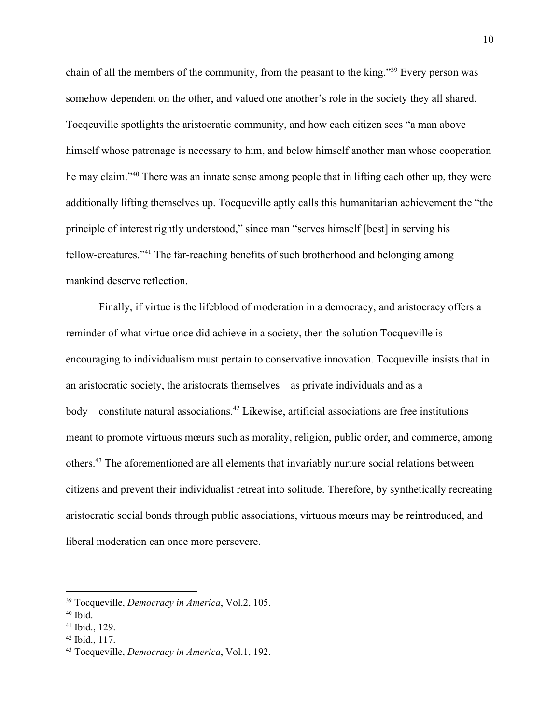chain of all the members of the community, from the peasant to the king."<sup>39</sup> Every person was somehow dependent on the other, and valued one another's role in the society they all shared. Tocqeuville spotlights the aristocratic community, and how each citizen sees "a man above himself whose patronage is necessary to him, and below himself another man whose cooperation he may claim."<sup>40</sup> There was an innate sense among people that in lifting each other up, they were additionally lifting themselves up. Tocqueville aptly calls this humanitarian achievement the "the principle of interest rightly understood," since man "serves himself [best] in serving his fellow-creatures."<sup>41</sup> The far-reaching benefits of such brotherhood and belonging among mankind deserve reflection.

Finally, if virtue is the lifeblood of moderation in a democracy, and aristocracy offers a reminder of what virtue once did achieve in a society, then the solution Tocqueville is encouraging to individualism must pertain to conservative innovation. Tocqueville insists that in an aristocratic society, the aristocrats themselves—as private individuals and as a body—constitute natural associations.<sup>42</sup> Likewise, artificial associations are free institutions meant to promote virtuous mœurs such as morality, religion, public order, and commerce, among others.<sup>43</sup> The aforementioned are all elements that invariably nurture social relations between citizens and prevent their individualist retreat into solitude. Therefore, by synthetically recreating aristocratic social bonds through public associations, virtuous mœurs may be reintroduced, and liberal moderation can once more persevere.

<sup>39</sup> Tocqueville, *Democracy in America*, Vol.2, 105.

<sup>40</sup> Ibid.

<sup>41</sup> Ibid., 129.

<sup>42</sup> Ibid., 117.

<sup>43</sup> Tocqueville, *Democracy in America*, Vol.1, 192.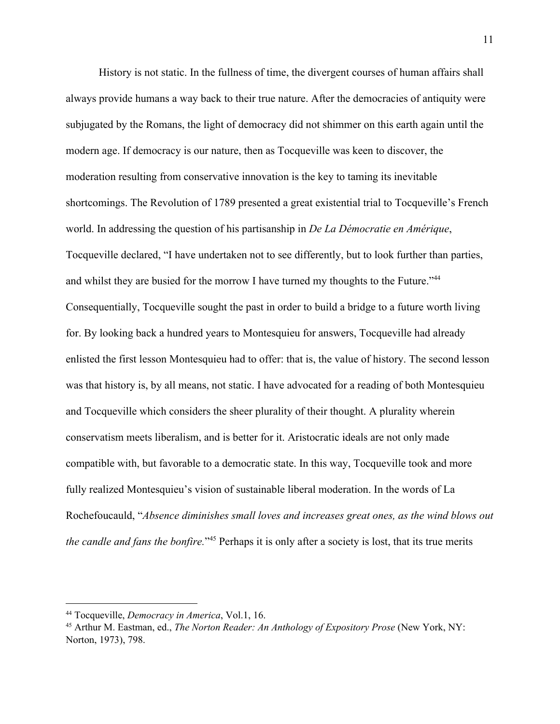History is not static. In the fullness of time, the divergent courses of human affairs shall always provide humans a way back to their true nature. After the democracies of antiquity were subjugated by the Romans, the light of democracy did not shimmer on this earth again until the modern age. If democracy is our nature, then as Tocqueville was keen to discover, the moderation resulting from conservative innovation is the key to taming its inevitable shortcomings. The Revolution of 1789 presented a great existential trial to Tocqueville's French world. In addressing the question of his partisanship in *De La Démocratie en Amérique*, Tocqueville declared, "I have undertaken not to see differently, but to look further than parties, and whilst they are busied for the morrow I have turned my thoughts to the Future."<sup>44</sup> Consequentially, Tocqueville sought the past in order to build a bridge to a future worth living for. By looking back a hundred years to Montesquieu for answers, Tocqueville had already enlisted the first lesson Montesquieu had to offer: that is, the value of history. The second lesson was that history is, by all means, not static. I have advocated for a reading of both Montesquieu and Tocqueville which considers the sheer plurality of their thought. A plurality wherein conservatism meets liberalism, and is better for it. Aristocratic ideals are not only made compatible with, but favorable to a democratic state. In this way, Tocqueville took and more fully realized Montesquieu's vision of sustainable liberal moderation. In the words of La Rochefoucauld, "*Absence diminishes small loves and increases great ones, as the wind blows out the candle and fans the bonfire.*"<sup>45</sup> Perhaps it is only after a society is lost, that its true merits

<sup>44</sup> Tocqueville, *Democracy in America*, Vol.1, 16.

<sup>45</sup> Arthur M. Eastman, ed., *The Norton Reader: An Anthology of Expository Prose* (New York, NY: Norton, 1973), 798.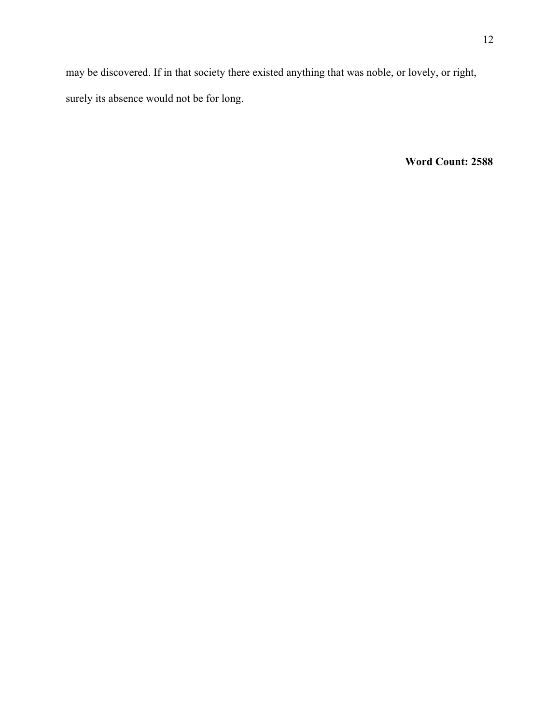may be discovered. If in that society there existed anything that was noble, or lovely, or right, surely its absence would not be for long.

**Word Count: 2588**